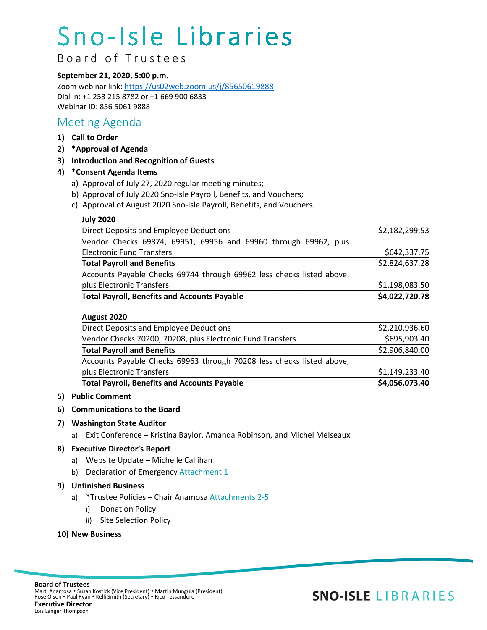# Sno-Isle Libraries

B o ard of Trustees

#### **September 21, 2020, 5:00 p.m.**

Zoom webinar link[: https://us02web.zoom.us/j/85650619888](https://us02web.zoom.us/j/85650619888) Dial in: +1 253 215 8782 or +1 669 900 6833 Webinar ID: 856 5061 9888

### Meeting Agenda

- **1) Call to Order**
- **2) \*Approval of Agenda**
- **3) Introduction and Recognition of Guests**

#### **4) \*Consent Agenda Items**

- a) Approval of July 27, 2020 regular meeting minutes;
- b) Approval of July 2020 Sno-Isle Payroll, Benefits, and Vouchers;
- c) Approval of August 2020 Sno-Isle Payroll, Benefits, and Vouchers.

#### **July 2020**

| <b>Total Payroll, Benefits and Accounts Payable</b>                   | \$4,022,720.78 |
|-----------------------------------------------------------------------|----------------|
| plus Electronic Transfers                                             | \$1,198,083.50 |
| Accounts Payable Checks 69744 through 69962 less checks listed above, |                |
| <b>Total Payroll and Benefits</b>                                     | \$2,824,637.28 |
| <b>Electronic Fund Transfers</b>                                      | \$642,337.75   |
| Vendor Checks 69874, 69951, 69956 and 69960 through 69962, plus       |                |
| Direct Deposits and Employee Deductions                               | \$2,182,299.53 |

#### **August 2020**

| <b>Total Payroll, Benefits and Accounts Payable</b>                   | \$4,056,073.40 |
|-----------------------------------------------------------------------|----------------|
| plus Electronic Transfers                                             | \$1,149,233.40 |
| Accounts Payable Checks 69963 through 70208 less checks listed above, |                |
| <b>Total Payroll and Benefits</b>                                     | \$2,906,840.00 |
| Vendor Checks 70200, 70208, plus Electronic Fund Transfers            | \$695,903.40   |
| Direct Deposits and Employee Deductions                               | \$2,210,936.60 |

#### **5) Public Comment**

#### **6) Communications to the Board**

#### **7) Washington State Auditor**

a) Exit Conference – Kristina Baylor, Amanda Robinson, and Michel Melseaux

#### **8) Executive Director's Report**

- a) Website Update Michelle Callihan
- b) Declaration of Emergency Attachment 1

#### **9) Unfinished Business**

- a) \*Trustee Policies Chair Anamosa Attachments 2-5
	- i) Donation Policy
	- ii) Site Selection Policy

#### **10) New Business**

## **SNO-ISLE LIBRARIES**